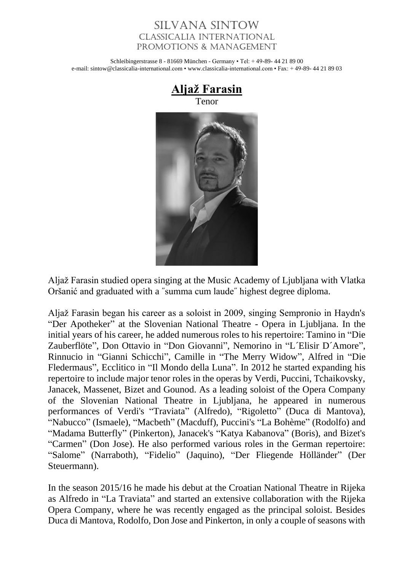## Silvana Sintow Classicalia International Promotions & Management

Schleibingerstrasse 8 - 81669 München - Germany • Tel: + 49-89- 44 21 89 00 e-mail: sintow@classicalia-international.com • www.classicalia-international.com • Fax: + 49-89- 44 21 89 03



Aljaž Farasin studied opera singing at the Music Academy of Ljubljana with Vlatka Oršanić and graduated with a ˝summa cum laude˝ highest degree diploma.

Aljaž Farasin began his career as a soloist in 2009, singing Sempronio in Haydn's "Der Apotheker" at the Slovenian National Theatre - Opera in Ljubljana. In the initial years of his career, he added numerous roles to his repertoire: Tamino in "Die Zauberflöte", Don Ottavio in "Don Giovanni", Nemorino in "L´Elisir D´Amore", Rinnucio in "Gianni Schicchi", Camille in "The Merry Widow", Alfred in "Die Fledermaus", Ecclitico in "Il Mondo della Luna". In 2012 he started expanding his repertoire to include major tenor roles in the operas by Verdi, Puccini, Tchaikovsky, Janacek, Massenet, Bizet and Gounod. As a leading soloist of the Opera Company of the Slovenian National Theatre in Ljubljana, he appeared in numerous performances of Verdi's "Traviata" (Alfredo), "Rigoletto" (Duca di Mantova), "Nabucco" (Ismaele), "Macbeth" (Macduff), Puccini's "La Bohème" (Rodolfo) and "Madama Butterfly" (Pinkerton), Janacek's "Katya Kabanova" (Boris), and Bizet's "Carmen" (Don Jose). He also performed various roles in the German repertoire: "Salome" (Narraboth), "Fidelio" (Jaquino), "Der Fliegende Hölländer" (Der Steuermann).

In the season 2015/16 he made his debut at the Croatian National Theatre in Rijeka as Alfredo in "La Traviata" and started an extensive collaboration with the Rijeka Opera Company, where he was recently engaged as the principal soloist. Besides Duca di Mantova, Rodolfo, Don Jose and Pinkerton, in only a couple of seasons with